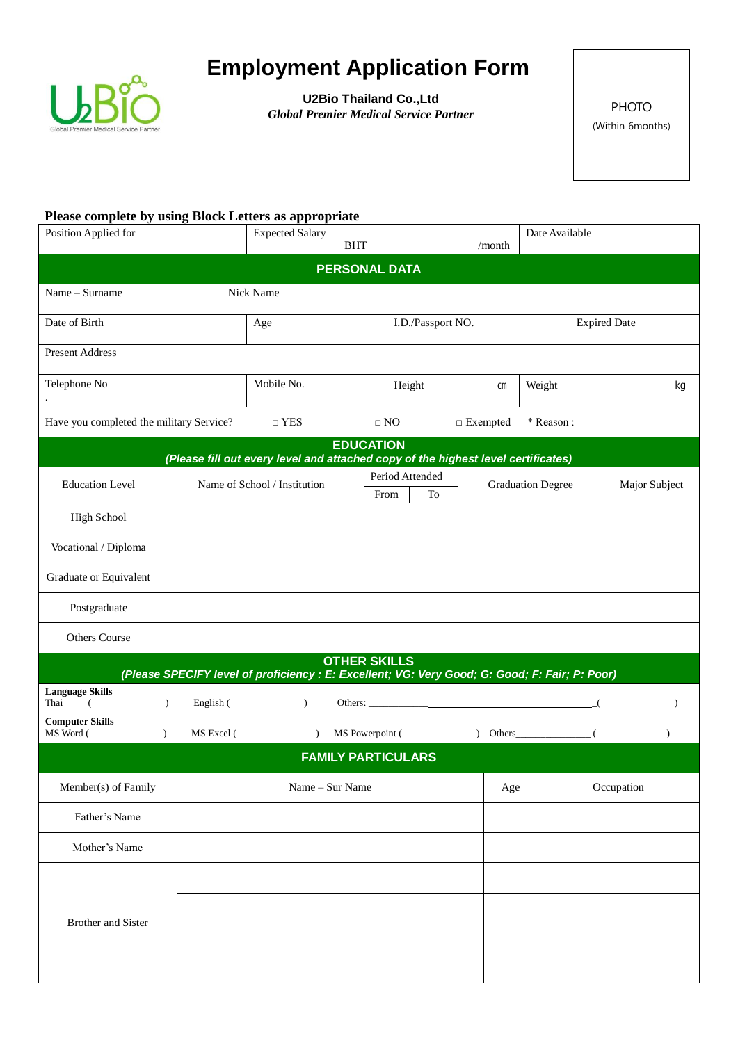

## **Employment Application Form**

**U2Bio Thailand Co.,Ltd Global Premier Medical Service Partner** PHOTO

(Within 6months)

## **Please complete by using Block Letters as appropriate**

| Position Applied for                                                                                                  |               | <b>Expected Salary</b><br><b>BHT</b> |                              |                   | Date Available<br>/month  |           |                          |                |               |  |  |
|-----------------------------------------------------------------------------------------------------------------------|---------------|--------------------------------------|------------------------------|-------------------|---------------------------|-----------|--------------------------|----------------|---------------|--|--|
| <b>PERSONAL DATA</b>                                                                                                  |               |                                      |                              |                   |                           |           |                          |                |               |  |  |
| Name - Surname                                                                                                        |               |                                      | Nick Name                    |                   |                           |           |                          |                |               |  |  |
| Date of Birth                                                                                                         |               | Age                                  |                              | I.D./Passport NO. |                           |           | <b>Expired Date</b>      |                |               |  |  |
| <b>Present Address</b>                                                                                                |               |                                      |                              |                   |                           |           |                          |                |               |  |  |
| Telephone No                                                                                                          |               | Mobile No.                           |                              | Height            | $\mathsf{cm}$             | Weight    |                          | kg             |               |  |  |
| Have you completed the military Service?                                                                              |               | $\Box$ YES                           |                              | $\Box$ NO         | $\Box$<br><br>Exempted    | * Reason: |                          |                |               |  |  |
| <b>EDUCATION</b><br>(Please fill out every level and attached copy of the highest level certificates)                 |               |                                      |                              |                   |                           |           |                          |                |               |  |  |
|                                                                                                                       |               |                                      |                              |                   | Period Attended           |           |                          |                |               |  |  |
| <b>Education Level</b>                                                                                                |               |                                      | Name of School / Institution | From              | To                        |           | <b>Graduation Degree</b> |                | Major Subject |  |  |
| <b>High School</b>                                                                                                    |               |                                      |                              |                   |                           |           |                          |                |               |  |  |
| Vocational / Diploma                                                                                                  |               |                                      |                              |                   |                           |           |                          |                |               |  |  |
| Graduate or Equivalent                                                                                                |               |                                      |                              |                   |                           |           |                          |                |               |  |  |
| Postgraduate                                                                                                          |               |                                      |                              |                   |                           |           |                          |                |               |  |  |
| Others Course                                                                                                         |               |                                      |                              |                   |                           |           |                          |                |               |  |  |
| <b>OTHER SKILLS</b><br>(Please SPECIFY level of proficiency : E: Excellent; VG: Very Good; G: Good; F: Fair; P: Poor) |               |                                      |                              |                   |                           |           |                          |                |               |  |  |
| <b>Language Skills</b>                                                                                                |               |                                      |                              |                   |                           |           |                          |                |               |  |  |
| Thai<br><b>Computer Skills</b>                                                                                        | $\mathcal{L}$ | English (                            | $\mathcal{L}$                |                   | Others: $\qquad \qquad$   |           |                          | $\overline{A}$ | $\lambda$     |  |  |
| MS Word (                                                                                                             | $\mathcal{L}$ | MS Excel (                           | $\lambda$                    | MS Powerpoint (   |                           |           | $\int$ Others            | - (            | $\lambda$     |  |  |
|                                                                                                                       |               |                                      |                              |                   | <b>FAMILY PARTICULARS</b> |           |                          |                |               |  |  |
| Member(s) of Family                                                                                                   |               |                                      | Name - Sur Name              | Age               |                           |           | Occupation               |                |               |  |  |
| Father's Name                                                                                                         |               |                                      |                              |                   |                           |           |                          |                |               |  |  |
| Mother's Name                                                                                                         |               |                                      |                              |                   |                           |           |                          |                |               |  |  |
| <b>Brother and Sister</b>                                                                                             |               |                                      |                              |                   |                           |           |                          |                |               |  |  |
|                                                                                                                       |               |                                      |                              |                   |                           |           |                          |                |               |  |  |
|                                                                                                                       |               |                                      |                              |                   |                           |           |                          |                |               |  |  |
|                                                                                                                       |               |                                      |                              |                   |                           |           |                          |                |               |  |  |